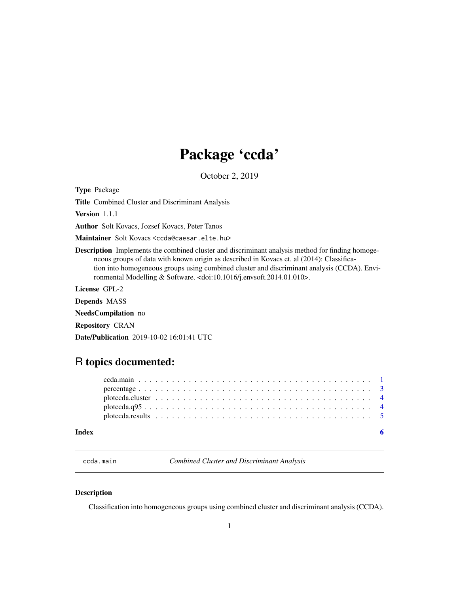## Package 'ccda'

October 2, 2019

<span id="page-0-0"></span>Type Package

Title Combined Cluster and Discriminant Analysis

Version 1.1.1

Author Solt Kovacs, Jozsef Kovacs, Peter Tanos

Maintainer Solt Kovacs <ccda@caesar.elte.hu>

Description Implements the combined cluster and discriminant analysis method for finding homogeneous groups of data with known origin as described in Kovacs et. al (2014): Classification into homogeneous groups using combined cluster and discriminant analysis (CCDA). Environmental Modelling & Software. <doi:10.1016/j.envsoft.2014.01.010>.

License GPL-2

Depends MASS

NeedsCompilation no

Repository CRAN

Date/Publication 2019-10-02 16:01:41 UTC

### R topics documented:

| plotceda. q95 |  |  |  |  |  |  |  |  |  |  |  |  |  |  |  |  |  |  |
|---------------|--|--|--|--|--|--|--|--|--|--|--|--|--|--|--|--|--|--|
|               |  |  |  |  |  |  |  |  |  |  |  |  |  |  |  |  |  |  |
|               |  |  |  |  |  |  |  |  |  |  |  |  |  |  |  |  |  |  |
|               |  |  |  |  |  |  |  |  |  |  |  |  |  |  |  |  |  |  |

<span id="page-0-1"></span>ccda.main *Combined Cluster and Discriminant Analysis*

#### Description

Classification into homogeneous groups using combined cluster and discriminant analysis (CCDA).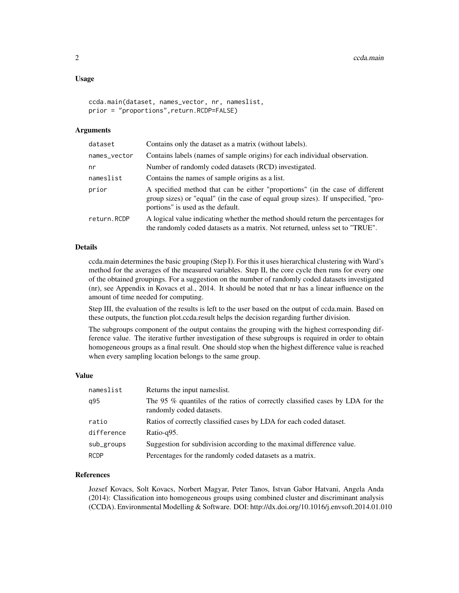#### Usage

```
ccda.main(dataset, names_vector, nr, nameslist,
prior = "proportions",return.RCDP=FALSE)
```
#### Arguments

| dataset      | Contains only the dataset as a matrix (without labels).                                                                                                                                                 |
|--------------|---------------------------------------------------------------------------------------------------------------------------------------------------------------------------------------------------------|
| names_vector | Contains labels (names of sample origins) for each individual observation.                                                                                                                              |
| nr           | Number of randomly coded datasets (RCD) investigated.                                                                                                                                                   |
| nameslist    | Contains the names of sample origins as a list.                                                                                                                                                         |
| prior        | A specified method that can be either "proportions" (in the case of different<br>group sizes) or "equal" (in the case of equal group sizes). If unspecified, "pro-<br>portions" is used as the default. |
| return.RCDP  | A logical value indicating whether the method should return the percentages for<br>the randomly coded datasets as a matrix. Not returned, unless set to "TRUE".                                         |
|              |                                                                                                                                                                                                         |

#### Details

ccda.main determines the basic grouping (Step I). For this it uses hierarchical clustering with Ward's method for the averages of the measured variables. Step II, the core cycle then runs for every one of the obtained groupings. For a suggestion on the number of randomly coded datasets investigated (nr), see Appendix in Kovacs et al., 2014. It should be noted that nr has a linear influence on the amount of time needed for computing.

Step III, the evaluation of the results is left to the user based on the output of ccda.main. Based on these outputs, the function plot.ccda.result helps the decision regarding further division.

The subgroups component of the output contains the grouping with the highest corresponding difference value. The iterative further investigation of these subgroups is required in order to obtain homogeneous groups as a final result. One should stop when the highest difference value is reached when every sampling location belongs to the same group.

#### Value

| nameslist   | Returns the input nameslist.                                                                              |
|-------------|-----------------------------------------------------------------------------------------------------------|
| q95         | The 95 % quantiles of the ratios of correctly classified cases by LDA for the<br>randomly coded datasets. |
| ratio       | Ratios of correctly classified cases by LDA for each coded dataset.                                       |
| difference  | Ratio-q95.                                                                                                |
| sub_groups  | Suggestion for subdivision according to the maximal difference value.                                     |
| <b>RCDP</b> | Percentages for the randomly coded datasets as a matrix.                                                  |

#### References

Jozsef Kovacs, Solt Kovacs, Norbert Magyar, Peter Tanos, Istvan Gabor Hatvani, Angela Anda (2014): Classification into homogeneous groups using combined cluster and discriminant analysis (CCDA). Environmental Modelling & Software. DOI: http://dx.doi.org/10.1016/j.envsoft.2014.01.010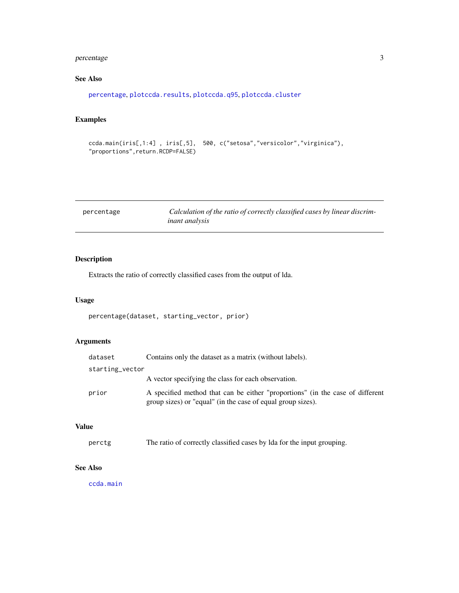#### <span id="page-2-0"></span>percentage 3

#### See Also

```
percentage, plotccda.results, plotccda.q95, plotccda.cluster
```
#### Examples

```
ccda.main(iris[,1:4] , iris[,5], 500, c("setosa","versicolor","virginica"),
"proportions",return.RCDP=FALSE)
```
<span id="page-2-1"></span>

| percentage | Calculation of the ratio of correctly classified cases by linear discrim- |
|------------|---------------------------------------------------------------------------|
|            | <i>inant analysis</i>                                                     |

#### Description

Extracts the ratio of correctly classified cases from the output of lda.

#### Usage

```
percentage(dataset, starting_vector, prior)
```
#### Arguments

| dataset         | Contains only the dataset as a matrix (without labels).                                                                                      |
|-----------------|----------------------------------------------------------------------------------------------------------------------------------------------|
| starting_vector |                                                                                                                                              |
|                 | A vector specifying the class for each observation.                                                                                          |
| prior           | A specified method that can be either "proportions" (in the case of different<br>group sizes) or "equal" (in the case of equal group sizes). |

#### Value

```
perctg The ratio of correctly classified cases by lda for the input grouping.
```
#### See Also

[ccda.main](#page-0-1)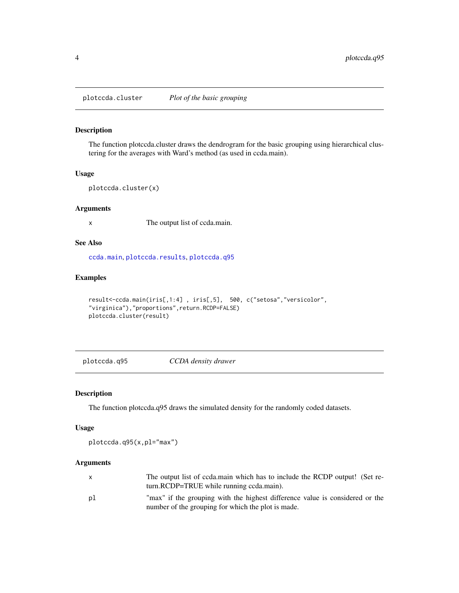<span id="page-3-2"></span><span id="page-3-0"></span>plotccda.cluster *Plot of the basic grouping*

#### Description

The function plotccda.cluster draws the dendrogram for the basic grouping using hierarchical clustering for the averages with Ward's method (as used in ccda.main).

#### Usage

```
plotccda.cluster(x)
```
#### Arguments

x The output list of ccda.main.

#### See Also

[ccda.main](#page-0-1), [plotccda.results](#page-4-1), [plotccda.q95](#page-3-1)

#### Examples

```
result<-ccda.main(iris[,1:4] , iris[,5], 500, c("setosa","versicolor",
"virginica"),"proportions",return.RCDP=FALSE)
plotccda.cluster(result)
```
<span id="page-3-1"></span>plotccda.q95 *CCDA density drawer*

#### Description

The function plotccda.q95 draws the simulated density for the randomly coded datasets.

#### Usage

plotccda.q95(x,pl="max")

#### Arguments

|    | The output list of ccda.main which has to include the RCDP output! (Set re-<br>turn.RCDP=TRUE while running ccda.main).            |
|----|------------------------------------------------------------------------------------------------------------------------------------|
| рl | "max" if the grouping with the highest difference value is considered or the<br>number of the grouping for which the plot is made. |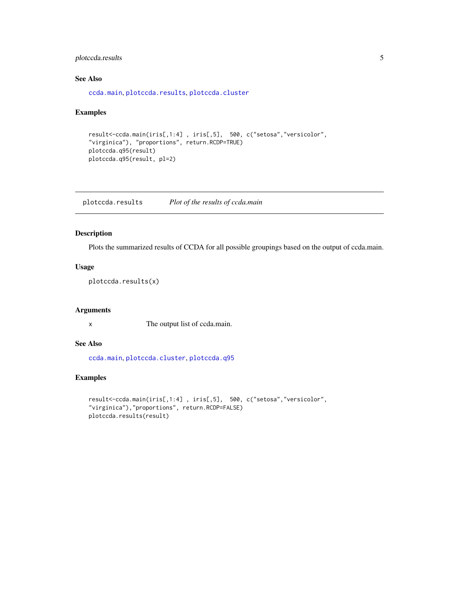#### <span id="page-4-0"></span>plotccda.results 5

#### See Also

[ccda.main](#page-0-1), [plotccda.results](#page-4-1), [plotccda.cluster](#page-3-2)

#### Examples

```
result<-ccda.main(iris[,1:4] , iris[,5], 500, c("setosa","versicolor",
"virginica"), "proportions", return.RCDP=TRUE)
plotccda.q95(result)
plotccda.q95(result, pl=2)
```
<span id="page-4-1"></span>plotccda.results *Plot of the results of ccda.main*

#### Description

Plots the summarized results of CCDA for all possible groupings based on the output of ccda.main.

#### Usage

```
plotccda.results(x)
```
#### Arguments

x The output list of ccda.main.

#### See Also

[ccda.main](#page-0-1), [plotccda.cluster](#page-3-2), [plotccda.q95](#page-3-1)

#### Examples

```
result<-ccda.main(iris[,1:4] , iris[,5], 500, c("setosa","versicolor",
"virginica"),"proportions", return.RCDP=FALSE)
plotccda.results(result)
```